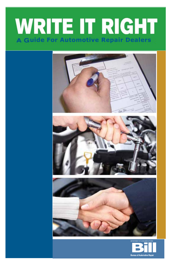# **WRITE IT RIGHT uide For Automotive Repair Dealers**



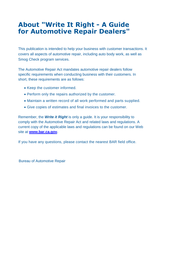# **About "Write It Right - A Guide for Automotive Repair Dealers"**

This publication is intended to help your business with customer transactions. It covers all aspects of automotive repair, including auto body work, as well as Smog Check program services.

The Automotive Repair Act mandates automotive repair dealers follow specific requirements when conducting business with their customers. In short, these requirements are as follows:

- Keep the customer informed.
- Perform only the repairs authorized by the customer.
- Maintain a written record of all work performed and parts supplied.
- Give copies of estimates and final invoices to the customer.

Remember, the *Write it Right* is only a guide. It is your responsibility to comply with the Automotive Repair Act and related laws and regulations. A current copy of the applicable laws and regulations can be found on our Web site at **[www.bar.ca.gov.](http://www.bar.ca.gov/)**

If you have any questions, please contact the nearest BAR field office.

Bureau of Automotive Repair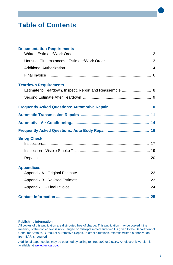# **Table of Contents**

| <b>Documentation Requirements</b>                                                       |  |
|-----------------------------------------------------------------------------------------|--|
|                                                                                         |  |
|                                                                                         |  |
|                                                                                         |  |
| <b>Teardown Requirements</b><br>Estimate to Teardown, Inspect, Report and Reassemble  8 |  |
|                                                                                         |  |
|                                                                                         |  |
|                                                                                         |  |
|                                                                                         |  |
|                                                                                         |  |
| <b>Smog Check</b>                                                                       |  |
|                                                                                         |  |
|                                                                                         |  |
| <b>Appendices</b>                                                                       |  |
|                                                                                         |  |
|                                                                                         |  |
|                                                                                         |  |
|                                                                                         |  |

#### **Publishing Information**

All copies of this publication are distributed free of charge. This publication may be copied if the meaning of the copied text is not changed or misrepresented and credit is given to the Department of Consumer Affairs, Bureau of Automotive Repair. In other situations, express written authorization from BAR is required.

Additional paper copies may be obtained by calling toll-free 800.952.5210. An electronic version is available at **[www.bar.ca.gov.](http://www.bar.ca.gov/)**

•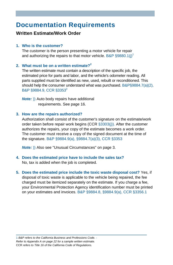# **Documentation Requirements**

#### **Written Estimate/Work Order**

#### **1. Who is the customer?**

The customer is the person presenting a motor vehicle for repair and authorizing the repairs to that motor vehicle.  $B\&P$  §9880.1(j)<sup>1</sup>

#### **2. What must be on a written estimate?<sup>2</sup>**

The written estimate must contain a description of the specific job, the estimated price for parts and labor, and the vehicle's odometer reading. All parts supplied must be identified as new, used, rebuilt or reconditioned. This should help the consumer understand what was purchased. B&P§9884.7(a)(2), B&P §9884.9, CCR §3353<sup>3</sup>

*Note: )*) Auto body repairs have additional requirements. See page 16.

#### **3. How are the repairs authorized?**

Authorization shall consist of the customer's signature on the estimate/work order taken before repair work begins (CCR §3303(j)). After the customer authorizes the repairs, your copy of the estimate becomes a work order. The customer must receive a copy of the signed document at the time of the signature. B&P §9884.9(a), §9884.7(a)(3), CCR §3353

*Note: Note:* )) Also see "Unusual Circumstances" on page 3.

- **4. Does the estimated price have to include the sales tax?**  No, tax is added when the job is completed.
- **5. Does the estimated price include the toxic waste disposal cost?** Yes, if disposal of toxic waste is applicable to the vehicle being repaired, the fee charged must be itemized separately on the estimate. If you charge a fee, your Environmental Protection Agency identification number must be printed on your estimates and invoices. B&P §9884.8, §9884.9(a), CCR §3356.1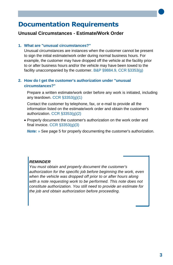# **Documentation Requirements**

#### **Unusual Circumstances - Estimate/Work Order**

#### **1. What are "unusual circumstances?"**

Unusual circumstances are instances when the customer cannot be present to sign the initial estimate/work order during normal business hours. For example, the customer may have dropped off the vehicle at the facility prior to or after business hours and/or the vehicle may have been towed to the facility unaccompanied by the customer. B&P §9884.9, CCR §3353(g)

#### **2. How do I get the customer's authorization under "unusual circumstances?"**

Prepare a written estimate/work order before any work is initiated, including any teardown. CCR §3353(g)(1)

Contact the customer by telephone, fax, or e-mail to provide all the information listed on the estimate/work order and obtain the customer's authorization. CCR §3353(g)(2)

 Properly document the customer's authorization on the work order and final invoice. CCR §3353(g)(3)

*Note:* » See page 5 for properly documenting the customer's authorization.

#### *REMINDER*

*You must obtain and properly document the customer's authorization for the specific job before beginning the work, even when the vehicle was dropped off prior to or after hours along with a note requesting work to be performed. This note does not constitute authorization. You still need to provide an estimate for the job and obtain authorization before proceeding.*

•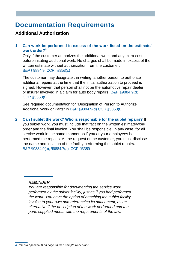# **Documentation Requirements**

#### **Additional Authorization**

#### **1. Can work be performed in excess of the work listed on the estimate/ work order?<sup>4</sup>**

Only if the customer authorizes the additional work and any extra cost before initating additional work. No charges shall be made in excess of the written estimate without authorization from the customer. B&P §9884.9, CCR §3353(c)

The customer may designate , in writing, another person to authorize additional repairs at the time that the initial authorization to proceed is signed. However, that person shall not be the automotive repair dealer or insurer involved in a claim for auto body repairs. B&P §9884.9(d), CCR §3353(f)

See required documentation for "Designation of Person to Authorize Additional Work or Parts" in B&P §9884.9(d) CCR §3353(f).

**2. Can I sublet the work? Who is responsible for the sublet repairs?** If you sublet work, you must include that fact on the written estimate/work order and the final invoice. You shall be responsible, in any case, for all service work in the same manner as if you or your employees had performed the repairs. At the request of the customer, you must disclose the name and location of the facility performing the sublet repairs. B&P §9884.9(b), §9884.7(a), CCR §3359

#### *REMINDER*

*You are responsible for documenting the service work performed by the sublet facility, just as if you had performed the work. You have the option of attaching the sublet facility invoice to your own and referencing its attachment, as an alternative if the description of the work performed and the parts supplied meets with the requirements of the law.*

**<sup>4</sup>** *Refer to Appendix B on page 23 for a sample work order.*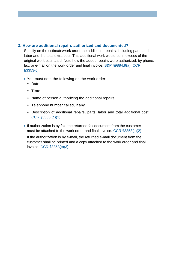#### **3. How are additional repairs authorized and documented?**

Specify on the estimate/work order the additional repairs, including parts and labor and the total extra cost. This additional work would be in excess of the original work estimated. Note how the added repairs were authorized: by phone, fax, or e-mail on the work order and final invoice. B&P §9884.9(a), CCR §3353(c)

- You must note the following on the work order:
	- Date
	- \* Time
	- Name of person authorizing the additional repairs
	- Telephone number called, if any
	- Description of additional repairs, parts, labor and total additional cost CCR §3353 (c)(1)
- If authorization is by fax, the returned fax document from the customer must be attached to the work order and final invoice. CCR §3353(c)(2)

If the authorization is by e-mail, the returned e-mail document from the customer shall be printed and a copy attached to the work order and final invoice. CCR §3353(c)(3)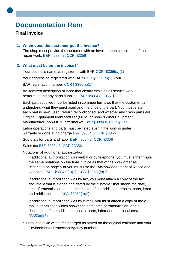# **Documentation Rem**

#### **Final Invoice**

•

#### **1. When does the customer get the invoice?**

The shop must provide the customer with an invoice upon completion of the repair work. B&P §9884.8, CCR §3356

#### **2. What must be on the invoice?<sup>5</sup>**

Your business name as registered with BAR CCR §3356(a)(1)

Your address as registered with BAR CCR §3356(a)(1) Your

BAR registration number CCR §3356(a)(1)

An itemized description of labor that clearly explains all service work performed and any parts supplied. B&P §9884.8, CCR §3356

Each part supplied must be listed in common terms so that the customer can understand what they purchased and the price of the part. You must state if each part is new, used, rebuilt, reconditioned, and whether any crash parts are Original Equipment Manufacturer (OEM) or non-Original Equipment Manufacturer (non-OEM) aftermarket. B&P §9884.8, CCR §3356

Labor operations and parts must be listed even if the work is under warranty or done at no charge B&P §9884.8, CCR §3356

Subtotals for parts and labor B&P §9884.8, CCR §3356

Sales tax B&P §9884.8, CCR §3356

#### Notations of additional authorization

If additional authorization was verbal or by telephone, you must either make the same notations on the final invoice as that of the work order as described on page 5 or you must use the "Acknowledgement of Notice and Consent." B&P §9884.9(a)(2), CCR §3353 (c)(1)

If additional authorization was by fax, you must attach a copy of the fax document that is signed and dated by the customer that shows the date, time of transmission, and a description of the additional repairs, parts, labor and additional cost. CCR §3353(c)(2)

If additional authorization was by e-mail, you must attach a copy of the email authorization which shows the date, time of transmission, and a description of the additional repairs, parts, labor and additional cost. §3353(c)(3)

\* If any, the toxic waste fee charged as stated on the original estimate and your Environmental Protection Agency number.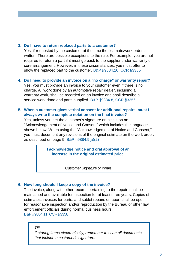#### **3. Do I have to return replaced parts to a customer?**

Yes, if requested by the customer at the time the estimate/work order is written. There are possible exceptions to the rule. For example, you are not required to return a part if it must go back to the supplier under warranty or core arrangement. However, in these circumstances, you must offer to show the replaced part to the customer. B&P §9884.10, CCR §3355

#### **4. Do I need to provide an invoice on a "no charge" or warranty repair?**

Yes, you must provide an invoice to your customer even if there is no charge. All work done by an automotive repair dealer, including all warranty work, shall be recorded on an invoice and shall describe all service work done and parts supplied. B&P §9884.8, CCR §3356

#### **5. When a customer gives verbal consent for additional repairs, must I always write the complete notation on the final invoice?**

Yes, unless you get the customer's signature or initials on an "Acknowledgement of Notice and Consent" which includes the language shown below. When using the "Acknowledgement of Notice and Consent," you must document any revisions of the original estimate on the work order, as described on page 5. B&P §9884.9(a)(2)

> **I acknowledge notice and oral approval of an increase in the original estimated price.**

> > Customer Signature or Initials

#### **6. How long should I keep a copy of the invoice?**

The invoice, along with other records pertaining to the repair, shall be maintained and available for inspection for at least three years. Copies of estimates, invoices for parts, and sublet repairs or labor, shall be open for reasonable inspection and/or reproduction by the Bureau or other law enforcement officials during normal business hours. B&P §9884.11, CCR §3358

#### *TIP*

*If storing items electronically, remember to scan all documents that include a customer's signature.*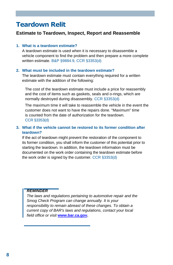# **Teardown Relit**

#### **Estimate to Teardown, Inspect, Report and Reassemble**

#### **1. What is a teardown estimate?**

A teardown estimate is used when it is necessary to disassemble a vehicle component to find the problem and then prepare a more complete written estimate. B&P §9884.9, CCR §3353(d)

#### **2. What must be included in the teardown estimate?**

The teardown estimate must contain everything required for a written estimate with the addition of the following:

The cost of the teardown estimate must include a price for reassembly and the cost of items such as gaskets, seals and o-rings, which are normally destroyed during disassembly. CCR §3353(d)

The maximum time it will take to reassemble the vehicle in the event the customer does not want to have the repairs done. "Maximum" time is counted from the date of authorization for the teardown. CCR §3353(d)

#### **3. What if the vehicle cannot be restored to its former condition after teardown?**

If the act of teardown might prevent the restoration of the component to its former condition, you shall inform the customer of this potential prior to starting the teardown. In addition, the teardown information must be documented on the work order containing the teardown estimate before the work order is signed by the customer. CCR §3353(d)

#### *REMINDER*

*The laws and regulations pertaining to automotive repair and the Smog Check Program can change annually. It is your responsibility to remain abreast of these changes. To obtain a current copy of BAR's laws and regulations, contact your local field office or visit* **[www.bar.ca.gov.](http://www.bar.ca.gov/)**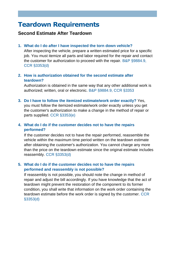# **Teardown Requirements**

#### **Second Estimate After Teardown**

#### **1. What do I do after I have inspected the torn down vehicle?**

After inspecting the vehicle, prepare a written estimated price for a specific job. You must itemize all parts and labor required for the repair and contact the customer for authorization to proceed with the repair. B&P §9884.9, CCR §3353(d)

#### **2. How is authorization obtained for the second estimate after teardown?**

Authorization is obtained in the same way that any other additional work is authorized; written, oral or electronic. B&P §9884.9, CCR §3353

**3. Do I have to follow the itemized estimate/work order exactly?** Yes,

you must follow the itemized estimate/work order exactly unless you get the customer's authorization to make a change in the method of repair or parts supplied. CCR §3353(e)

#### **4. What do I do if the customer decides not to have the repairs performed?**

If the customer decides not to have the repair performed, reassemble the vehicle within the maximum time period written on the teardown estimate after obtaining the customer's authorization. You cannot charge any more than the price on the teardown estimate since the original estimate includes reassembly. CCR §3353(d)

#### **5. What do I do if the customer decides not to have the repairs performed and reassembly is not possible?**

If reassembly is not possible, you should note the change in method of repair and adjust the bill accordingly. If you have knowledge that the act of teardown might prevent the restoration of the component to its former condition, you shall write that information on the work order containing the teardown estimate before the work order is signed by the customer. CCR §3353(d)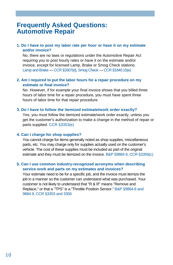## **Frequently Asked Questions: Automotive Repair**

#### **1. Do I have to post my labor rate per hour or have it on my estimate and/or invoice?**

No, there are no laws or regulations under the Automotive Repair Act requiring you to post hourly rates or have it on the estimate and/or invoice, except for licensed Lamp, Brake or Smog Check stations. Lamp and Brake — CCR §3307(d), Smog Check — CCR §3340.15(e)

#### **2. Am I required to put the labor hours for a repair procedure on my estimate or final invoice?**

No. However, if for example your final invoice shows that you billed three hours of labor time for a repair procedure, you must have spent three hours of labor time for that repair procedure.

#### **3. Do I have to follow the itemized estimate/work order exactly?**

Yes, you must follow the itemized estimate/work order exactly, unless you get the customer's authorization to make a change in the method of repair or parts supplied. CCR §3353(e)

#### **4. Can I charge for shop supplies?**

You cannot charge for items generally noted as shop supplies, miscellaneous parts, etc. You may charge only for supplies actually used on the customer's vehicle. The cost of these supplies must be included as part of the original estimate and they must be itemized on the invoice. B&P §9884.9, CCR §3356(c)

#### **5. Can I use common industry-recognized acronyms when describing service work and parts on my estimates and invoices?**

Your estimate need to be for a specific job, and the invoice must itemize the job in a manner so the customer can understand what was purchased. Your customer is not likely to understand that "R & R" means "Remove and Replace," or that a "TPS" is a "Throttle Position Sensor." B&P §9884.8 and 9884.9, CCR §3353 and 3356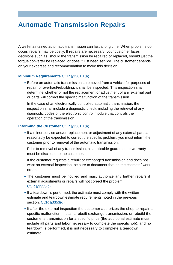# **Automatic Transmission Repairs**

A well-maintained automatic transmission can last a long time. When problems do occur, repairs may be costly. If repairs are necessary, your customer faces decisions such as, should the transmission be repaired or replaced, should just the torque converter be replaced, or does it just need service. The customer depends on your expertise and recommendation to make this decision.

#### **Minimum Requirements** CCR §3361.1(a)

 Before an automatic transmission is removed from a vehicle for purposes of repair, or overhaul/rebuilding, it shall be inspected. This inspection shall determine whether or not the replacement or adjustment of any external part or parts will correct the specific malfunction of the transmission.

In the case of an electronically controlled automatic transmission, the inspection shall include a diagnostic check, including the retrieval of any diagnostic codes of the electronic control module that controls the operation of the transmission.

#### **Informing the Customer** CCR §3361.1(a)

 If a minor service and/or replacement or adjustment of any external part can reasonably be expected to correct the specific problem, you must inform the customer prior to removal of the automatic transmission.

Prior to removal of any transmission, all applicable guarantee or warranty must be disclosed to the customer.

If the customer requests a rebuilt or exchanged transmission and does not want an external inspection, be sure to document that on the estimate/ work order.

- The customer must be notified and must authorize any further repairs if external adjustments or repairs will not correct the problem. CCR §3353(c)
- If a teardown is performed, the estimate must comply with the written estimate and teardown estimate requirements noted in the previous section. CCR §3353(d)
- If after the external inspection the customer authorizes the shop to repair a specific malfunction, install a rebuilt exchange transmission, or rebuild the customer's transmission for a specific price (the additional estimate must include all parts and labor necessary to complete the specific job), and no teardown is performed, it is not necessary to complete a teardown estimate.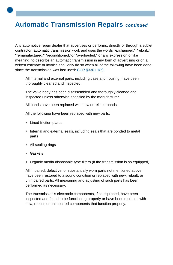# **Automatic Transmission Repairs** *continued*

Any automotive repair dealer that advertises or performs, directly or through a sublet contractor, automatic transmission work and uses the words "exchanged," "rebuilt," "remanufactured," "reconditioned,"or "overhauled," or any expression of like meaning, to describe an automatic transmission in any form of advertising or on a written estimate or invoice shall only do so when all of the following have been done since the transmission was last used: CCR §3361.1(c)

All internal and external parts, including case and housing, have been thoroughly cleaned and inspected.

The valve body has been disassembled and thoroughly cleaned and inspected unless otherwise specified by the manufacturer.

All bands have been replaced with new or relined bands.

All the following have been replaced with new parts:

- Lined friction plates
- Internal and external seals, including seals that are bonded to metal parts
- All sealing rings
- Gaskets

•

Organic media disposable type filters (if the transmission is so equipped)

All impaired, defective, or substantially worn parts not mentioned above have been restored to a sound condition or replaced with new, rebuilt, or unimpaired parts. All measuring and adjusting of such parts has been performed as necessary.

The transmission's electronic components, if so equipped, have been inspected and found to be functioning properly or have been replaced with new, rebuilt, or unimpaired components that function properly.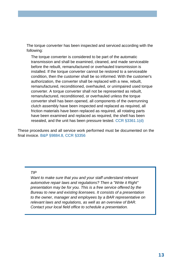The torque converter has been inspected and serviced according with the following:

The torque converter is considered to be part of the automatic transmission and shall be examined, cleaned, and made serviceable before the rebuilt, remanufactured or overhauled transmission is installed. If the torque converter cannot be restored to a serviceable condition, then the customer shall be so informed. With the customer's authorization, the converter shall be replaced with a new, rebuilt, remanufactured, reconditioned, overhauled, or unimpaired used torque converter. A torque converter shall not be represented as rebuilt, remanufactured, reconditioned, or overhauled unless the torque converter shell has been opened, all components of the overrunning clutch assembly have been inspected and replaced as required, all friction materials have been replaced as required, all rotating parts have been examined and replaced as required, the shell has been resealed, and the unit has been pressure tested. CCR §3361.1(d)

These procedures and all service work performed must be documented on the final invoice. B&P §9884.8, CCR §3356

#### *TIP*

*Want to make sure that you and your staff understand relevant automotive repair laws and regulations? Then a "Write it Right" presentation may be for you. This is a free service offered by the Bureau to new and existing licensees. It consists of a presentation to the owner, manager and employees by a BAR representative on relevant laws and regulations, as well as an overview of BAR. Contact your local field office to schedule a presentation.*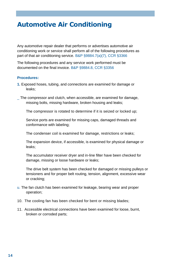# **Automotive Air Conditioning**

Any automotive repair dealer that performs or advertises automotive air conditioning work or service shall perform all of the following procedures as part of that air conditioning service. B&P §9884.7(a)(7), CCR §3366

The following procedures and any service work performed must be documented on the final invoice. B&P §9884.8, CCR §3356

#### **Procedures:**

**1.** Exposed hoses, tubing, and connections are examined for damage or leaks;

\_ The compressor and clutch, when accessible, are examined for damage, missing bolts, missing hardware, broken housing and leaks;

The compressor is rotated to determine if it is seized or locked up;

Service ports are examined for missing caps, damaged threads and conformance with labeling;

The condenser coil is examined for damage, restrictions or leaks;

The expansion device, if accessible, is examined for physical damage or leaks;

The accumulator receiver dryer and in-line filter have been checked for damage, missing or loose hardware or leaks;

The drive belt system has been checked for damaged or missing pulleys or tensioners and for proper belt routing, tension, alignment, excessive wear or cracking;

- u. The fan clutch has been examined for leakage, bearing wear and proper operation;
- 10. The cooling fan has been checked for bent or missing blades;
- 11. Accessible electrical connections have been examined for loose, burnt, broken or corroded parts;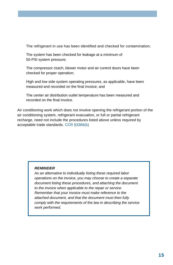The refrigerant in use has been identified and checked for contamination;

The system has been checked for leakage at a minimum of 50-PSI system pressure;

The compressor clutch, blower motor and air control doors have been checked for proper operation;

High and low side system operating pressures, as applicable, have been measured and recorded on the final invoice; and

The center air distribution outlet temperature has been measured and recorded on the final invoice.

Air conditioning work which does not involve opening the refrigerant portion of the air conditioning system, refrigerant evacuation, or full or partial refrigerant recharge, need not include the procedures listed above unless required by acceptable trade standards. CCR §3366(b)

#### *REMINDER*

*As an alternative to individually listing these required labor operations on the invoice, you may choose to create a separate document listing these procedures, and attaching the document to the invoice when applicable to the repair or service. Remember that your invoice must make reference to the attached document, and that the document must then fully comply with the requirements of the law in describing the service work performed.*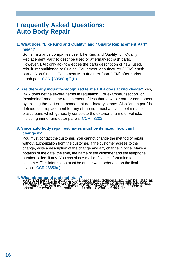## **Frequently Asked Questions: Auto Body Repair**

#### **1. What does "Like Kind and Quality" and "Quality Replacement Part" mean?**

Some insurance companies use "Like Kind and Quality" or "Quality Replacement Part" to describe used or aftermarket crash parts. However, BAR only acknowledges the parts description of new, used, rebuilt, reconditioned or Original Equipment Manufacturer (OEM) crash part or Non-Original Equipment Manufacturer (non-OEM) aftermarket crash part. CCR §3356(a)(2)(B)

#### **2. Are there any industry-recognized terms BAR does acknowledge?** Yes,

BAR does define several terms in regulation. For example, "section" or "sectioning" means the replacement of less than a whole part or component by splicing the part or component at non-factory seams. Also "crash part" is defined as a replacement for any of the non-mechanical sheet metal or plastic parts which generally constitute the exterior of a motor vehicle, including innner and outer panels. CCR §3303

#### **3. Since auto body repair estimates must be itemized, how can I change it?**

You must contact the customer. You cannot change the method of repair without authorization from the customer. If the customer agrees to the change, write a description of the change and any change in price. Make a notation of the date, the time, the name of the customer and the telephone number called, if any. You can also e-mail or fax the information to the customer. This information must be on the work order and on the final invoice. CCR §3353(c)

#### 4. What about paint and materi

line entry, tape with a one-line entry, etc. However, you may choose to absorb the cost of such materials as part of your overhead.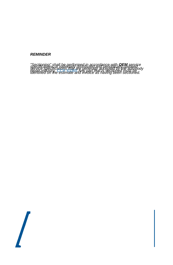#### *REMINDER*

"Sectioning" shall be nerformed in accordance with **OFM** service<br>specific specifications inaly are nelled in greened on the gatopooly<br>identified on the estimate and invoice as having been sectioned.

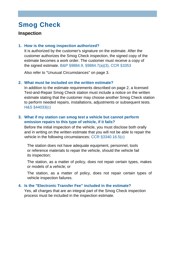#### **Inspection**

#### **1. How is the smog inspection authorized?**

It is authorized by the customer's signature on the estimate. After the customer authorizes the Smog Check inspection, the signed copy of the estimate becomes a work order. The customer must receive a copy of the signed estimate. B&P §9884.9, §9884.7(a)(3), CCR §3353

Also refer to "Unusual Circumstances" on page 3.

#### **2. What must be included on the written estimate?**

In addition to the estimate requirements described on page 2, a licensed Test-and-Repair Smog Check station must include a notice on the written estimate stating that the customer may choose another Smog Check station to perform needed repairs, installations, adjustments or subsequent tests. H&S §44033(c)

#### **3. What if my station can smog test a vehicle but cannot perform emission repairs to this type of vehicle, if it fails?**

Before the initial inspection of the vehicle, you must disclose both orally and in writing on the written estimate that you will not be able to repair the vehicle in the following circumstances: CCR §3340.16.5(c)

The station does not have adequate equipment, personnel, tools or reference materials to repair the vehicle, should the vehicle fail its inspection;

The station, as a matter of policy, does not repair certain types, makes or models of a vehicle; or

The station, as a matter of policy, does not repair certain types of vehicle inspection failures.

#### **4. Is the "Electronic Transfer Fee" included in the estimate?**

Yes, all charges that are an integral part of the Smog Check inspection process must be included in the inspection estimate.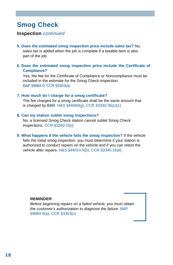#### **Inspection** *continued*

**5. Does the estimated smog inspection price include sales tax?** No,

sales tax is added when the job is complete if a taxable item is also part of the job.

**6. Does the estimated smog inspection price include the Certificate of Compliance?**

Yes, the fee for the Certificate of Compliance or Noncompliance must be included in the estimate for the Smog Check inspection. B&P §9884.9, CCR §3353(a)

#### **7. How much do I charge for a smog certificate?**

The fee charged for a smog certificate shall be the same amount that is charged by BAR. H&S §44060(g), CCR §3340.35(c)(1)

#### **8. Can my station sublet smog inspections?**

No, a licensed Smog Check station cannot sublet Smog Check inspections. CCR §3340.15(i)

**9. What happens if the vehicle fails the smog inspection?** If the vehicle fails the initial smog inspection, you must determine if your station is authorized to conduct repairs on the vehicle and if you can retest the vehicle after repairs. H&S §44014.5(b), CCR §3340.16(d)

#### *REMINDER*

*Before beginning repairs on a failed vehicle, you must obtain the customer's authorization to diagnose the failure.* B&P §9884.9(a), CCR §3353(c)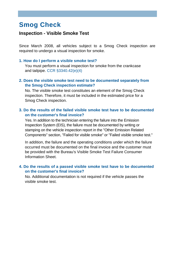#### **Inspection - Visible Smoke Test**

Since March 2008, all vehicles subject to a Smog Check inspection are required to undergo a visual inspection for smoke.

#### **1. How do I perform a visible smoke test?**

You must perform a visual inspection for smoke from the crankcase and tailpipe. CCR §3340.42(e)(4)

#### **2. Does the visible smoke test need to be documented separately from the Smog Check inspection estimate?**

No. The visible smoke test constitutes an element of the Smog Check inspection. Therefore, it must be included in the estimated price for a Smog Check inspection.

#### **3. Do the results of the failed visible smoke test have to be documented on the customer's final invoice?**

Yes. In addition to the technician entering the failure into the Emission Inspection System (EIS), the failure must be documented by writing or stamping on the vehicle inspection report in the "Other Emission Related Components" section, "Failed for visible smoke" or "Failed visible smoke test."

In addition, the failure and the operating conditions under which the failure occurred must be documented on the final invoice and the customer must be provided with the Bureau's Visible Smoke Test Failure Consumer Information Sheet.

#### **4. Do the results of a passed visible smoke test have to be documented on the customer's final invoice?**

No. Additional documentation is not required if the vehicle passes the visible smoke test.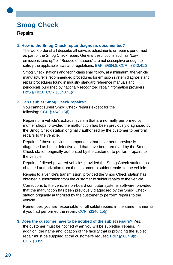#### **Repairs**

•

#### **1. How is the Smog Check repair diagnosis documented?**

The work order shall describe all service, adjustments or repairs performed as part of the Smog Check repair. General descriptions such as "Low emissions tune up" or "Reduce emissions" are not descriptive enough to satisfy the applicable laws and regulations. B&P §9884.8, CCR §3340.41.3

Smog Check stations and technicians shall follow, at a minimum, the vehicle manufacturer's recommended procedures for emission system diagnosis and repair procedures found in industry standard reference manuals and periodicals published by nationally recognized repair information providers. H&S §44016, CCR §3340.41(d)

#### **2. Can I sublet Smog Check repairs?**

You cannot sublet Smog Check repairs except for the following: CCR §3340.15(i)

Repairs of a vehicle's exhaust system that are normally performed by muffler shops, provided the malfunction has been previously diagnosed by the Smog Check station originally authorized by the customer to perform repairs to the vehicle.

Repairs of those individual components that have been previously diagnosed as being defective and that have been removed by the Smog Check station originally authorized by the customer to perform repairs to the vehicle.

Repairs of diesel-powered vehicles provided the Smog Check station has obtained authorization from the customer to sublet repairs to the vehicle.

Repairs to a vehicle's transmission, provided the Smog Check station has obtained authorization from the customer to sublet repairs to the vehicle.

Corrections to the vehicle's on-board computer systems software, provided that the malfunction has been previously diagnosed by the Smog Check station originally authorized by the customer to perform repairs to the vehicle.

Remember, you are responsible for all sublet repairs in the same manner as if you had performed the repair. CCR §3340.15(j)

#### **3. Does the customer have to be notified of the sublet repairs?** Yes,

the customer must be notified when you will be subletting repairs. In addition, the name and location of the facility that is providing the sublet repair must be supplied at the customer's request. B&P §9884.9(b), CCR §3359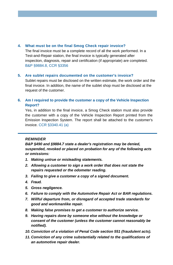#### **4. What must be on the final Smog Check repair invoice?**

The final invoice must be a complete record of all the work performed. In a Test-and-Repair station, the final invoice is typically generated after inspection, diagnosis, repair and certification (if appropriate) are completed. B&P §9884.8, CCR §3356

#### **5. Are sublet repairs documented on the customer's invoice?**

Sublet repairs must be disclosed on the written estimate, the work order and the final invoice. In addition, the name of the sublet shop must be disclosed at the request of the customer.

#### **6. Am I required to provide the customer a copy of the Vehicle Inspection Report?**

Yes, in addition to the final invoice, a Smog Check station must also provide the customer with a copy of the Vehicle Inspection Report printed from the Emission Inspection System. The report shall be attached to the customer's invoice. CCR §3340.41 (a)

#### *REMINDER*

*B&P §490 and §9884.7 state a dealer's registration may be denied, suspended, revoked or placed on probation for any of the following acts or omissions:*

- *1. Making untrue or misleading statements.*
- *2. Allowing a customer to sign a work order that does not state the repairs requested or the odometer reading.*
- *3. Failing to give a customer a copy of a signed document.*
- *4. Fraud.*
- *5. Gross negligence.*
- *6. Failure to comply with the Automotive Repair Act or BAR regulations.*
- *7. Willful departure from, or disregard of accepted trade standards for good and workmanlike repair.*
- *8. Making false promises to get a customer to authorize service.*
- *9. Having repairs done by someone else without the knowledge or consent of the customer (unless the customer cannot reasonably be notified).*
- *10. Conviction of a violation of Penal Code section 551 (fraudulent acts).*
- *11. Conviction of any crime substantially related to the qualifications of an automotive repair dealer.*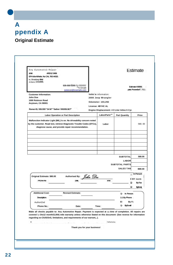# • **A ppendix A Original Estimate**

| Any Automotive Repair<br>&Nit<br>ARD123456<br>EPA IderAiNetie. Nu CAL 76S 44321<br>to.; Broadway 6Nd                                                                                                                                                                                                               |                                                    |          |                                                                 |                                              | <b>Estimate</b>                            |
|--------------------------------------------------------------------------------------------------------------------------------------------------------------------------------------------------------------------------------------------------------------------------------------------------------------------|----------------------------------------------------|----------|-----------------------------------------------------------------|----------------------------------------------|--------------------------------------------|
| ArrOpmn, CA1000.                                                                                                                                                                                                                                                                                                   | 535-555'5355 Fa 555555<br>sonecoe@example.com      |          |                                                                 |                                              | Estimate 400001<br>pate: Poverebef 7, 7011 |
| <b>Customer Information:</b><br>John Doe<br>1000 Rubicon Road<br>Anytown, CA 90001                                                                                                                                                                                                                                 |                                                    |          | Vehk le information:<br>2000 Jeep Wrangler<br>Odometer: 103,292 |                                              |                                            |
| Romer-EL 555.555 <sup>+2</sup> 34 W <sup>011</sup> 0ather: 555355.5E7°                                                                                                                                                                                                                                             |                                                    |          | License: 4BY4C AL                                               | Engine Displacement: 4 0 Liter Inline 6 Cyi. |                                            |
|                                                                                                                                                                                                                                                                                                                    | <b>Labor Operation or Part Description</b>         |          | LabonParts" <sup>2</sup>                                        | <b>Part Quantity</b>                         | Price                                      |
| Malfunction Indicator Light (MIL) is on. No driveability concern noted<br>by the customer. Road test, retrieve Diagnostic Trouble Codes (DTCs),                                                                                                                                                                    | diagnose cause, and provide repair recommendation. |          | Labor                                                           |                                              | 580.00                                     |
|                                                                                                                                                                                                                                                                                                                    |                                                    |          |                                                                 |                                              |                                            |
|                                                                                                                                                                                                                                                                                                                    |                                                    |          |                                                                 | <b>SUBTOTAL</b><br><b>LABOR</b>              | 580.00                                     |
|                                                                                                                                                                                                                                                                                                                    |                                                    |          |                                                                 | <b>SUBTOTAL PARTS</b><br><b>SALES TAN</b>    | B80.00                                     |
| Original Estimate: \$80.00                                                                                                                                                                                                                                                                                         | <b>Authorised By:</b>                              | John Doc |                                                                 |                                              | In Person                                  |
| <b>PhOne No</b>                                                                                                                                                                                                                                                                                                    | Date                                               |          | <b>Ime</b>                                                      | o<br>o                                       | 0 BY norm<br>By Fax<br>ByEma,              |
| <b>Additional Cost:</b><br>Description:                                                                                                                                                                                                                                                                            | <b>Revised Estimate:</b>                           |          |                                                                 | O In Person<br>1:1 By Phone                  |                                            |
|                                                                                                                                                                                                                                                                                                                    | Date:                                              |          | Time:                                                           | EI<br>By Fa<br>o<br><b>ByE-mail</b>          |                                            |
| AuthoriZed<br>Phone No.:                                                                                                                                                                                                                                                                                           |                                                    |          |                                                                 |                                              |                                            |
| Make all checks payable to: Any Automotive Repair. Payment is expected at the time of completion. All repairs are<br>covered by Ots12 month/i2,004) mile warranty unless otherwise Stated en this document- (See reverse for information<br>regarding ex-CIUSiOnS, limitations, and requirements of our warrant,). |                                                    |          |                                                                 |                                              |                                            |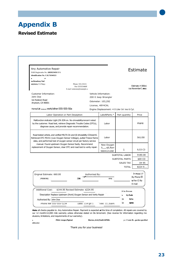# **Appendix B**

### **Revised Estimate**

| Any Automotive Repair                                                                                                                                                                                                     |                |                                             |                                               | Estimate               |
|---------------------------------------------------------------------------------------------------------------------------------------------------------------------------------------------------------------------------|----------------|---------------------------------------------|-----------------------------------------------|------------------------|
| DAR Registratko No. ARDI23458 EPA                                                                                                                                                                                         |                |                                             |                                               |                        |
| identification No. CAL76344321                                                                                                                                                                                            |                |                                             |                                               |                        |
| $\mathbf{v}$                                                                                                                                                                                                              |                |                                             |                                               |                        |
| na Broadway Nod                                                                                                                                                                                                           |                |                                             |                                               |                        |
| anytown, CA Neap.:<br>Phone: 555.55515<br>Pao 555555466P                                                                                                                                                                  |                |                                             |                                               | Estimate # 000e1       |
| E.mai! someone@enample.o.                                                                                                                                                                                                 |                |                                             |                                               | Dale: November?, 0011  |
| <b>Customer Information:</b>                                                                                                                                                                                              |                | Vehicle Information:                        |                                               |                        |
| John Doe                                                                                                                                                                                                                  |                | 200 0 Jeep Wrangler                         |                                               |                        |
| Ion Rubicon Road                                                                                                                                                                                                          |                |                                             |                                               |                        |
| Anytown, CA 90001                                                                                                                                                                                                         |                | Odometer: 103,292                           |                                               |                        |
|                                                                                                                                                                                                                           |                | License, 48Y4CAL                            |                                               |                        |
| Home/Cell: $m/m$ <sub>24</sub> work/other: 555-555-50a                                                                                                                                                                    |                |                                             | Engine Displacement: 4 0 Liler In! ine 6 Cyl. |                        |
| Labor Operation or Part Desaiption                                                                                                                                                                                        |                | LaboNParts.*                                | Part quantity                                 | Price                  |
| Malfunction Indicator Ught (FA ION on. No ciriveabilityroncerri noted<br>by the customer. Road test, retrieve Diagnostic Trouble Codes (DTCs),<br>diagnose cause, and provide repair recommendation.                      |                | Labor                                       |                                               | mare                   |
| Road tested vehicle, and verified MILTS On and i)0 driveability COneemS.<br>Retrieved DTC P0151 (Low Oxygen Sensor Voltage), pulled Treece frame<br>data, and performed test of oxygen sensor circuit per factory service |                | Labor                                       |                                               | 561/00                 |
| manual. Found upstream Oxygen Sensor faulty. Recommend<br>replacement of Oxygen Sensor, clear DTC and road test to verity repair.                                                                                         |                | New Oxygen<br>5,,,,,rjE,fterr<br>56041212AE | 1                                             | 9,53 C3                |
|                                                                                                                                                                                                                           |                |                                             | SUBTOTAL LABOR                                | 9180.00                |
|                                                                                                                                                                                                                           |                |                                             | SUBTOTAL PARTS                                | \$69 CO                |
|                                                                                                                                                                                                                           |                |                                             | <b>SALES TAX</b>                              | 04 95                  |
|                                                                                                                                                                                                                           |                |                                             | <b>TOTAL</b>                                  | 8224 9                 |
| Original Estimate: 660.00                                                                                                                                                                                                 | Authorized By: |                                             |                                               | In Person 1:f          |
| Phone No.:<br><b>Dæ</b>                                                                                                                                                                                                   |                | me:                                         |                                               | By Phone El            |
|                                                                                                                                                                                                                           |                |                                             |                                               | 8y Fax CI By<br>E-mail |
| <b>Additional Cost:</b><br>\$144.95 Revised Estimate: \$224.95                                                                                                                                                            |                |                                             | 0 In Person                                   |                        |
| Descnption' Replace Upstream [front] Oxygen Sensor and Verity Repair                                                                                                                                                      |                |                                             | <b>By Phalle</b>                              |                        |
| Authorized By: John Doe                                                                                                                                                                                                   |                |                                             | $\bullet$<br><b>ByFax</b><br>۰<br><b>BEMI</b> |                        |
|                                                                                                                                                                                                                           |                |                                             |                                               |                        |

elusions, limitations, and requirements of our warranty).

**othwwisr-**

**PEA1 mcgn,Piginal Merne.,hrtr(FadCrOPWt.** pz.1N **are M.. garden specifixd** 

Thank you for your business!

•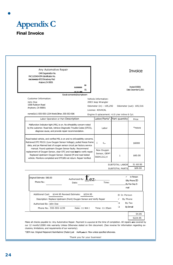

**•**

| Any Automotive Repair<br>OAR DegestratIon No.<br>PAC1105404 EPA Identification No.<br>CAL716443214053 Broadway Med                                                                                                                                                      |                            |                                              |                             | <b>Invoice</b>                             |
|-------------------------------------------------------------------------------------------------------------------------------------------------------------------------------------------------------------------------------------------------------------------------|----------------------------|----------------------------------------------|-----------------------------|--------------------------------------------|
| Anytown, CA 90001                                                                                                                                                                                                                                                       | 55<br>51555555<br>55.      |                                              |                             | Inorie000001<br>Date: December 5, 2011     |
| Eavab someenie@eumplexem                                                                                                                                                                                                                                                |                            |                                              |                             |                                            |
| Customer Information:                                                                                                                                                                                                                                                   |                            | Vehicle Information:                         |                             |                                            |
| John Doe<br>1000 Rubicon Road                                                                                                                                                                                                                                           |                            | 2003 Jeep Wrangler                           |                             |                                            |
| Anytown, CA 90001                                                                                                                                                                                                                                                       |                            | Odometer (in): 105,292                       |                             | Odometer (out): 105,516                    |
|                                                                                                                                                                                                                                                                         |                            | License: 40V4CAL                             |                             |                                            |
| nomeiCe11:555-555-1234 Work/Other, 555-553-506                                                                                                                                                                                                                          |                            | Engine 0 splacement: 4.0 Lrier inline 6 Cyl. |                             |                                            |
| Labor Operation or Part Description                                                                                                                                                                                                                                     |                            |                                              | Labor/Parts". Part quantity | Price                                      |
| Malfunction Indicator tight (MIL) is on. No drheability concern noted<br>by the customer. Road test, retrieve Diagnostic Trouble Codes (DTC5),<br>diagnose cause, and provide repair recommendation.                                                                    |                            | Labor                                        |                             | *novo                                      |
|                                                                                                                                                                                                                                                                         |                            |                                              |                             |                                            |
| Road tested vehicle, and verified MIL is on and no drIveabiNty concerns.<br>Retrieved DTC P0151 (Low Oxygen Sensor Voltage), pulled freeze frame<br>data, and pe Manned test of oxygen sensor circuit per factory service                                               |                            | $\mathbf{I}$<br>$-1$ <sub>r</sub>            |                             | \$6000                                     |
| manual. Found upstream Oxygen Sensor faulty. Recommend<br>replacement of Oxygen Sensor, clear OTC and road test to verify repair.<br>Replaced Upstream Oxygen Sensor. Cleared (M end road tested<br>vehicle. Monitors completed and DTCdfd not return. Repair Verified. |                            | New Oxygen<br>Sensor, OEM*<br>56041212,4     | 1                           | \$60.00                                    |
|                                                                                                                                                                                                                                                                         |                            |                                              | SUBTOTAL LABOR              | 51 60 00                                   |
|                                                                                                                                                                                                                                                                         |                            |                                              | SUBTOTAL PARTS              | \$00.00                                    |
| Original Estimate: 580.00<br>Phone No.:<br>Date:                                                                                                                                                                                                                        | Authorized By: <b>Lez.</b> | Time:                                        | $\checkmark$<br>mail        | in Person<br>0By Phone ID<br>By Fax Day E- |
| \$144.95 Revised Estimate:<br><b>Additional Cost:</b>                                                                                                                                                                                                                   | \$224.95                   |                                              | El In Person                |                                            |
| Description: Replace Upstream (front) Oxygen Sensor and Verify Repair                                                                                                                                                                                                   |                            |                                              | ✓<br>By Phone               |                                            |
| Authorized By: Jelin Doe                                                                                                                                                                                                                                                |                            |                                              | $\circ$                     | By Fax                                     |

Make all checks payable to: Any Automotive Repair. Payment is *expected* at the time of completion. All repairs *are* covered by our 12 month/12000 mile warranty Unless Otherwise stated on thin document. (See reverse for information regarding exclusions, limitations, and requiements of our warranty).

"OEM mar. Original Meipenent hlarinfaehrer (Paden) pat AaAll **pets** or. Mew unless specified elherwise.

Thank you for your business!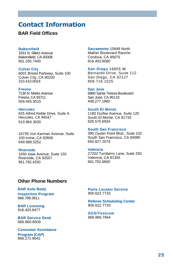# **Contact Information**

#### **BAR Field Offices**

#### **Bakersfield**

3331 N. Sillect Avenue Bakersfield, CA 93308 661.335.7400

#### **Culver City**

6001 Bristol Parkway, Suite 100 Culver City, CA 90230 310.410.0024

#### **Fresno**

7130 N. Marks Avenue Fresno, CA 93711 559.445.5015

#### **Hercules**

625 Alfred Noble Drive, Suite A Hercules, CA 94547 510.964.3030

16735 Von Karman Avenue, Suite 100 Irvine, CA 92606 949.988.5252

#### **Riverside**

1450 Iowa Avenue, Suite 150 Riverside, CA 92507 951.782.4250

**Sacramento** 10949 North Mather Boulevard Rancho Cordova, CA 95670 916.403.8080

**San Diego** 16855 W. Bernardo Drive, Suite 112 San Diego, CA 92127 858.716.1025

#### **San Jose**

6860 Santa Teresa Boulevard San Jose, CA 95119 408.277.1860

#### **South El Monte**

1180 Durfee Avenue, Suite 120 South El Monte, CA 91733 626.575.6934

#### **South San Francisco**

395 Oyster Point Blvd., Suite 102 South San Francisco, CA 94080 650.827.2074

#### **Valencia**

27202 Turnberry Lane, Suite 250 Valencia, CA 91355 661.702.6600

#### **Other Phone Numbers**

#### **BAR Auto Body**

**Inspection Program** 866.799.3811

**BAR Licensing** 916.403.8477

**BAR Service Desk** 866.860.8509

#### **Consumer Assistance**

**Program (CAP)** 866.272.9642

#### **Parts Locator Service** 800.622.7733

**Referee Scheduling Center**  800.622.7733

**SGS/Testcom** 866.966.7664